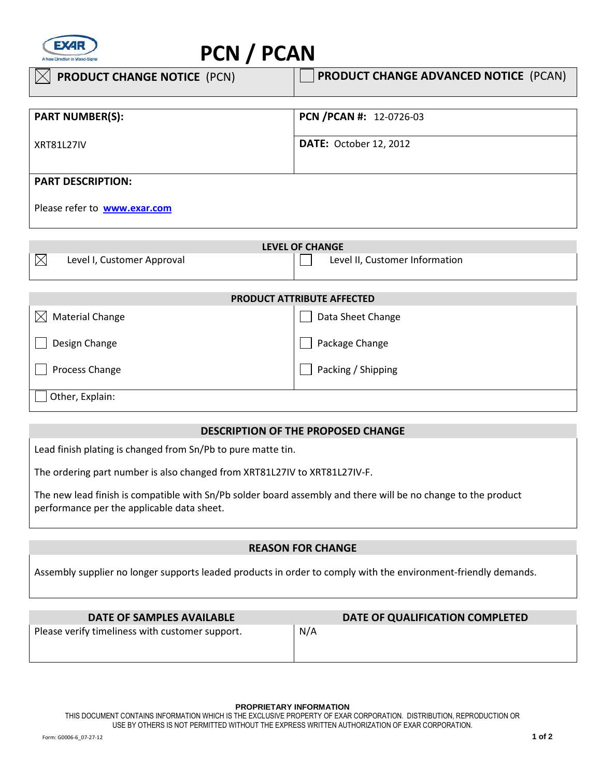

# **PCN / PCAN**

| <b>PRODUCT CHANGE NOTICE (PCN)</b>  | <b>PRODUCT CHANGE ADVANCED NOTICE (PCAN)</b> |
|-------------------------------------|----------------------------------------------|
| <b>PART NUMBER(S):</b>              | PCN / PCAN #: 12-0726-03                     |
| <b>XRT81L27IV</b>                   | <b>DATE: October 12, 2012</b>                |
| <b>PART DESCRIPTION:</b>            |                                              |
| Please refer to <b>www.exar.com</b> |                                              |

| <b>LEVEL OF CHANGE</b>                 |                                |  |
|----------------------------------------|--------------------------------|--|
| Level I, Customer Approval             | Level II, Customer Information |  |
|                                        |                                |  |
|                                        |                                |  |
| <b>PRODUCT ATTRIBUTE AFFECTED</b>      |                                |  |
| $\mathbb{X}$<br><b>Material Change</b> | Data Sheet Change              |  |

Package Change

 $\Box$  Packing / Shipping

| Design Change  |  |
|----------------|--|
| Process Change |  |

Other, Explain:

## **DESCRIPTION OF THE PROPOSED CHANGE**

 Lead finish plating is changed from Sn/Pb to pure matte tin.

The ordering part number is also changed from XRT81L27IV to XRT81L27IV-F.

The new lead finish is compatible with Sn/Pb solder board assembly and there will be no change to the product performance per the applicable data sheet.

## **REASON FOR CHANGE**

Assembly supplier no longer supports leaded products in order to comply with the environment-friendly demands.

| DATE OF SAMPLES AVAILABLE                       | DATE OF QUALIFICATION COMPLETED |
|-------------------------------------------------|---------------------------------|
| Please verify timeliness with customer support. | N/A                             |
|                                                 |                                 |
|                                                 |                                 |

#### **PROPRIETARY INFORMATION**

THIS DOCUMENT CONTAINS INFORMATION WHICH IS THE EXCLUSIVE PROPERTY OF EXAR CORPORATION. DISTRIBUTION, REPRODUCTION OR USE BY OTHERS IS NOT PERMITTED WITHOUT THE EXPRESS WRITTEN AUTHORIZATION OF EXAR CORPORATION.